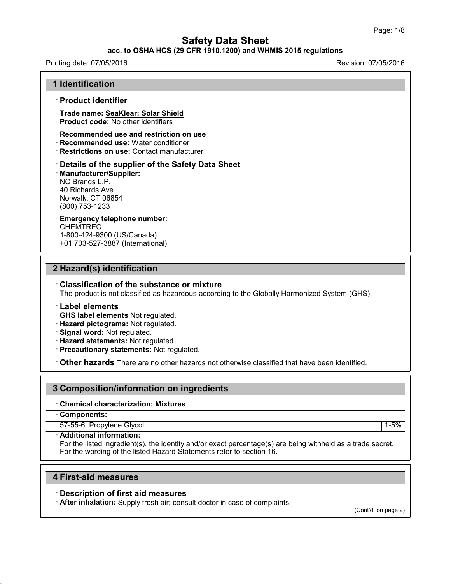## **acc. to OSHA HCS (29 CFR 1910.1200) and WHMIS 2015 regulations**

#### Printing date: 07/05/2016 **Revision: 07/05/2016** Revision: 07/05/2016

| · Product identifier                                                                                                                                          |                                                                                               |
|---------------------------------------------------------------------------------------------------------------------------------------------------------------|-----------------------------------------------------------------------------------------------|
| Trade name: SeaKlear: Solar Shield<br>· <b>Product code:</b> No other identifiers                                                                             |                                                                                               |
| $\cdot$ Recommended use and restriction on use<br>· Recommended use: Water conditioner<br>Restrictions on use: Contact manufacturer                           |                                                                                               |
| Details of the supplier of the Safety Data Sheet<br><b>Manufacturer/Supplier:</b><br>NC Brands L.P.<br>40 Richards Ave<br>Norwalk, CT 06854<br>(800) 753-1233 |                                                                                               |
| <b>Emergency telephone number:</b><br><b>CHEMTREC</b><br>1-800-424-9300 (US/Canada)<br>+01 703-527-3887 (International)                                       |                                                                                               |
|                                                                                                                                                               |                                                                                               |
| 2 Hazard(s) identification                                                                                                                                    |                                                                                               |
| $\cdot$ Classification of the substance or mixture                                                                                                            | The product is not classified as hazardous according to the Globally Harmonized System (GHS). |
| <b>Label elements</b><br>GHS label elements Not regulated.<br>Hazard pictograms: Not regulated.<br>Signal word: Not regulated.                                |                                                                                               |

· **Hazard statements:** Not regulated.

· **Precautionary statements:** Not regulated.

· **Other hazards** There are no other hazards nototherwise classified that have been identified.

## **3 Composition/information on ingredients**

· **Chemical characterization: Mixtures**

· **Components:**

43.0

57-55-6 Propylene Glycol 1-5%

· **Additional information:**

For the listed ingredient(s), the identity and/or exact percentage(s) are being withheld as a trade secret. For the wording of the listed Hazard Statements refer to section 16.

### **4 First-aid measures**

### · **Description of first aid measures**

· **After inhalation:** Supply fresh air; consult doctor in case of complaints.

(Cont'd. on page 2)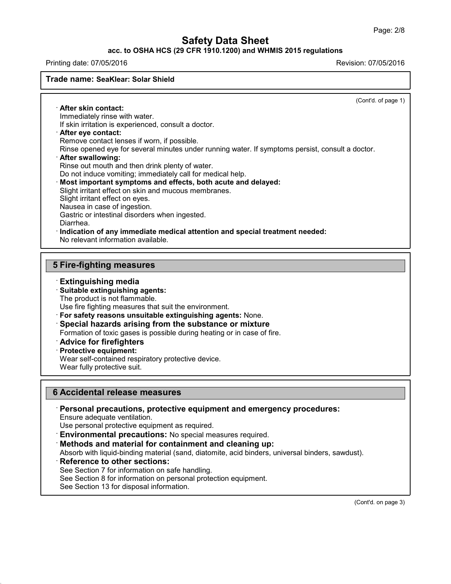### **acc. to OSHA HCS (29 CFR 1910.1200) and WHMIS 2015 regulations**

Printing date: 07/05/2016 Revision: 07/05/2016

#### **Trade name: SeaKlear: Solar Shield**

(Cont'd. of page 1)

· **After skin contact:** Immediately rinse with water. If skin irritation is experienced, consult a doctor. · **After eye contact:** Remove contact lenses if worn, if possible. Rinse opened eye for several minutes under running water. If symptoms persist, consult a doctor. · **After swallowing:** Rinse out mouth and then drink plenty of water. Do not induce vomiting; immediately call for medical help. · **Most important symptoms and effects, both acute and delayed:** Slight irritant effect on skin and mucous membranes. Slight irritant effect on eyes. Nausea in case of ingestion. Gastric or intestinal disorders when ingested. Diarrhea. · **Indication of any immediate medical attention and special treatment needed:** No relevant information available.

## **5 Fire-fighting measures**

### · **Extinguishing media**

- · **Suitable extinguishing agents:**
- The product is not flammable.

Use fire fighting measures that suit the environment.

- · **For safety reasons unsuitable extinguishing agents:** None.
- · **Special hazards arising from the substance or mixture**

Formation of toxic gases is possible during heating or in case of fire.

- · **Advice for firefighters**
- · **Protective equipment:**

Wear self-contained respiratory protective device.

Wear fully protective suit.

### **6 Accidental release measures**

· **Personal precautions, protective equipment and emergency procedures:**

Ensure adequate ventilation.

Use personal protective equipment as required.

· **Environmental precautions:** No special measures required.

· **Methods and material for containment and cleaning up:**

Absorb with liquid-binding material (sand, diatomite, acid binders, universal binders, sawdust).

· **Reference to other sections:**

43.0

See Section 7 for information on safe handling.

See Section 8 for information on personal protection equipment.

See Section 13 for disposal information.

(Cont'd. on page 3)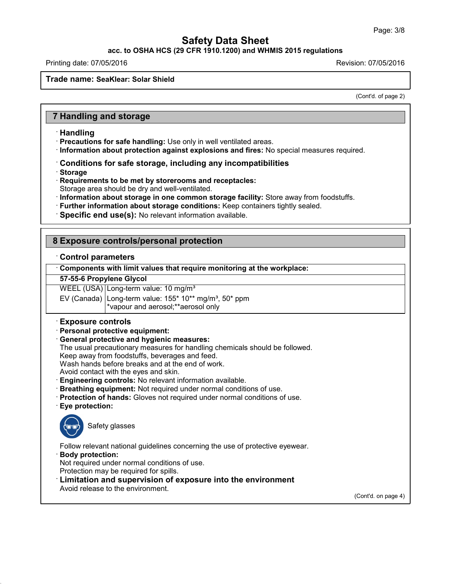**acc. to OSHA HCS (29 CFR 1910.1200) and WHMIS 2015 regulations**

Printing date: 07/05/2016 Revision: 07/05/2016

#### **Trade name: SeaKlear: Solar Shield**

(Cont'd. of page 2)

## **7 Handling and storage**

### · **Handling**

· **Precautions for safe handling:** Use only in well ventilated areas.

- · **Information about protection against explosions and fires:** No special measures required.
- · **Conditions for safe storage, including any incompatibilities**
- · **Storage**
- · **Requirements to be met by storerooms and receptacles:**
- Storage area should be dry and well-ventilated.
- · **Information about storage in one common storage facility:** Store away from foodstuffs.
- · **Further information about storage conditions:** Keep containers tightly sealed.
- · **Specific end use(s):** No relevant information available.

### **8 Exposure controls/personal protection**

#### · **Control parameters**

· **Components with limit values that require monitoring at the workplace:**

#### **57-55-6 Propylene Glycol**

WEEL (USA) Long-term value: 10 mg/m<sup>3</sup>

EV (Canada) Long-term value:  $155*10**$  mg/m<sup>3</sup>, 50\* ppm \*vapour and aerosol;\*\*aerosol only

#### · **Exposure controls**

- · **Personal protective equipment:**
- · **General protective and hygienic measures:**
- The usual precautionary measures for handling chemicals should be followed.

Keep away from foodstuffs, beverages and feed.

Wash hands before breaks and at the end of work.

Avoid contact with the eyes and skin.

- · **Engineering controls:** No relevant information available.
- · **Breathing equipment:** Not required under normal conditions of use.
- · **Protection of hands:** Gloves not required under normal conditions of use.
- · **Eye protection:**



43.0

Safety glasses

Follow relevant national guidelines concerning the use of protective eyewear.

· **Body protection:**

Not required under normal conditions of use.

- Protection may be required for spills.
- · **Limitation and supervision of exposure into the environment**

Avoid release to the environment.

(Cont'd. on page 4)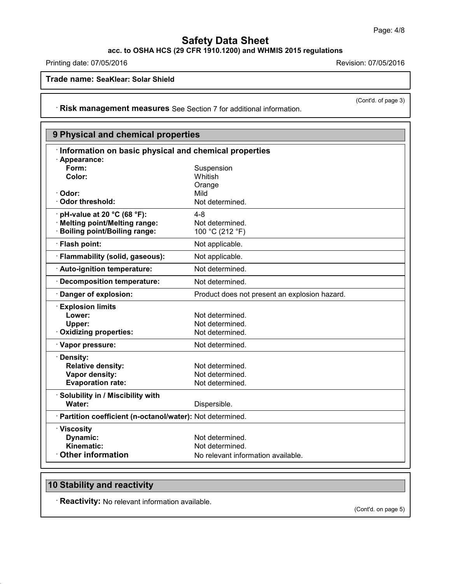**acc. to OSHA HCS (29 CFR 1910.1200) and WHMIS 2015 regulations**

Printing date: 07/05/2016 **Printing date: 07/05/2016** 

**Trade name: SeaKlear: Solar Shield**

(Cont'd. of page 3)

· **Risk management measures** See Section 7 for additional information.

| 9 Physical and chemical properties                         |                                               |  |
|------------------------------------------------------------|-----------------------------------------------|--|
| Information on basic physical and chemical properties      |                                               |  |
| · Appearance:                                              |                                               |  |
| Form:                                                      | Suspension                                    |  |
| Color:                                                     | Whitish                                       |  |
|                                                            | Orange                                        |  |
| Odor:                                                      | Mild                                          |  |
| <b>Odor threshold:</b>                                     | Not determined.                               |  |
| pH-value at 20 °C (68 °F):                                 | $4 - 8$                                       |  |
| · Melting point/Melting range:                             | Not determined.                               |  |
| <b>Boiling point/Boiling range:</b>                        | 100 °C (212 °F)                               |  |
| · Flash point:                                             | Not applicable.                               |  |
| · Flammability (solid, gaseous):                           | Not applicable.                               |  |
| · Auto-ignition temperature:                               | Not determined.                               |  |
| <b>Decomposition temperature:</b>                          | Not determined.                               |  |
| Danger of explosion:                                       | Product does not present an explosion hazard. |  |
| <b>Explosion limits</b>                                    |                                               |  |
| Lower:                                                     | Not determined.                               |  |
| Upper:                                                     | Not determined.                               |  |
| <b>Oxidizing properties:</b>                               | Not determined.                               |  |
| · Vapor pressure:                                          | Not determined.                               |  |
| · Density:                                                 |                                               |  |
| <b>Relative density:</b>                                   | Not determined.                               |  |
| Vapor density:                                             | Not determined.                               |  |
| <b>Evaporation rate:</b>                                   | Not determined.                               |  |
| · Solubility in / Miscibility with                         |                                               |  |
| Water:                                                     | Dispersible.                                  |  |
| · Partition coefficient (n-octanol/water): Not determined. |                                               |  |
| · Viscosity                                                |                                               |  |
| Dynamic:                                                   | Not determined.                               |  |
| Kinematic:                                                 | Not determined.                               |  |
| <b>Other information</b>                                   | No relevant information available.            |  |

## **10 Stability and reactivity**

43.0

· **Reactivity:** No relevant information available.

(Cont'd. on page 5)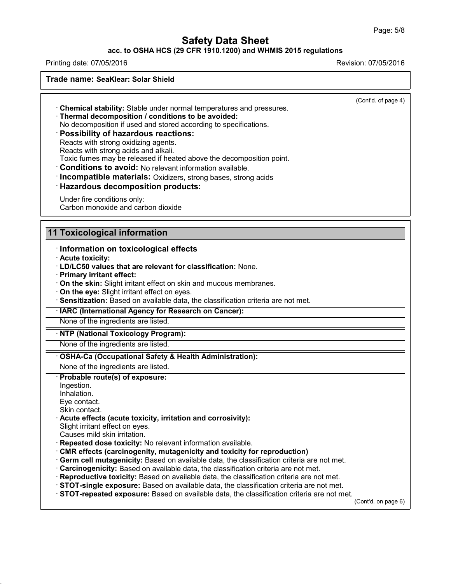### **acc. to OSHA HCS (29 CFR 1910.1200) and WHMIS 2015 regulations**

Printing date: 07/05/2016 Revision: 07/05/2016

**Trade name: SeaKlear: Solar Shield**

(Cont'd. of page 4)

· **Chemical stability:** Stable under normal temperatures and pressures.

· **Thermal decomposition / conditions to be avoided:**

No decomposition if used and stored according to specifications.

### · **Possibility of hazardous reactions:**

Reacts with strong oxidizing agents.

Reacts with strong acids and alkali.

Toxic fumes may be released if heated above the decomposition point.

· **Conditions to avoid:** No relevant information available.

· **Incompatible materials:** Oxidizers, strong bases, strong acids

### · **Hazardous decomposition products:**

Under fire conditions only: Carbon monoxide and carbon dioxide

### **11 Toxicological information**

### · **Information on toxicological effects**

· **Acute toxicity:**

- · **LD/LC50 values that are relevant for classification:** None.
- · **Primary irritant effect:**
- · **On the skin:** Slight irritant effect on skin and mucous membranes.
- · **On the eye:** Slight irritant effect on eyes.
- · **Sensitization:** Based on available data, the classification criteria are not met.

· **IARC (International Agency for Research on Cancer):**

None of the ingredients are listed.

#### · **NTP (National Toxicology Program):**

None of the ingredients are listed.

#### · **OSHA-Ca (Occupational Safety & Health Administration):**

None of the ingredients are listed.

#### · **Probable route(s) of exposure:**

Ingestion. Inhalation.

Eye contact.

Skin contact.

43.0

· **Acute effects (acute toxicity, irritation and corrosivity):**

Slight irritant effect on eyes.

Causes mild skin irritation.

- · **Repeated dose toxicity:** No relevant information available.
- · **CMR effects (carcinogenity, mutagenicity and toxicity for reproduction)**
- · **Germ cell mutagenicity:** Based on available data, the classification criteria are not met.
- · **Carcinogenicity:** Based on available data, the classification criteria are not met.
- · **Reproductive toxicity:** Based on available data, the classification criteria are not met.
- · **STOT-single exposure:** Based on available data, the classification criteria are not met.
- · **STOT-repeated exposure:** Based on available data, the classification criteria are not met.

(Cont'd. on page 6)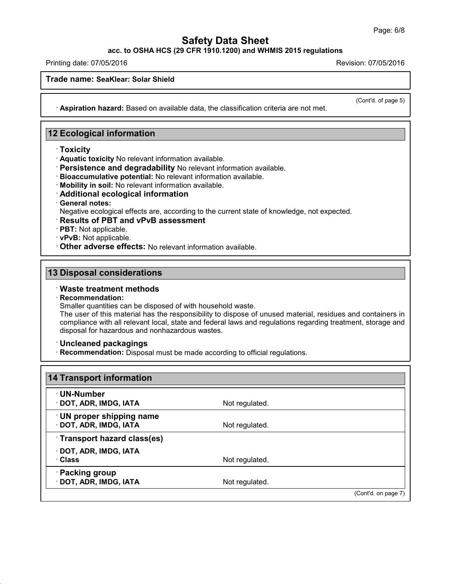**acc. to OSHA HCS (29 CFR 1910.1200) and WHMIS 2015 regulations**

Printing date: 07/05/2016 Revision: 07/05/2016

**Trade name: SeaKlear: Solar Shield**

(Cont'd. of page 5)

· **Aspiration hazard:** Based on available data, the classification criteria are not met.

### **12 Ecological information**

- · **Toxicity**
- · **Aquatic toxicity** No relevant information available.
- · **Persistence and degradability** No relevant information available.
- · **Bioaccumulative potential:** No relevant information available.
- · **Mobility in soil:** No relevant information available.
- · **Additional ecological information**
- · **General notes:**

Negative ecological effects are, according to the current state of knowledge, not expected.

- · **Results of PBT and vPvB assessment**
- · **PBT:** Not applicable.
- · **vPvB:** Not applicable.
- · **Other adverse effects:** No relevant information available.

### **13 Disposal considerations**

### · **Waste treatment methods**

#### · **Recommendation:**

43.0

Smaller quantities can be disposed of with household waste.

The user of this material has the responsibility to dispose of unused material, residues and containers in compliance with all relevant local, state and federal laws and regulations regarding treatment, storage and disposal for hazardous and nonhazardous wastes.

#### · **Uncleaned packagings**

· **Recommendation:** Disposal must be made according to official regulations.

| <b>⋅UN-Number</b>                                 |                |  |
|---------------------------------------------------|----------------|--|
| · DOT, ADR, IMDG, IATA                            | Not regulated. |  |
| UN proper shipping name<br>· DOT, ADR, IMDG, IATA | Not regulated. |  |
| Transport hazard class(es)                        |                |  |
| · DOT, ADR, IMDG, IATA<br>· Class                 | Not regulated. |  |
| · Packing group                                   |                |  |
| · DOT, ADR, IMDG, IATA                            | Not regulated. |  |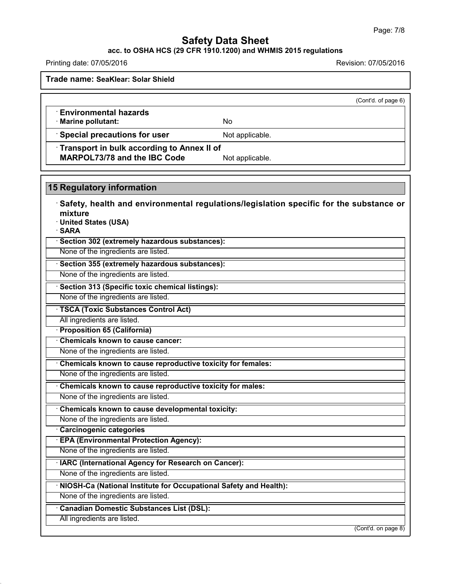### **acc. to OSHA HCS (29 CFR 1910.1200) and WHMIS 2015 regulations**

Printing date: 07/05/2016 Revision: 07/05/2016

43.0

**Trade name: SeaKlear: Solar Shield**

# (Cont'd. of page 6) · **Environmental hazards** · **Marine pollutant:** No **Special precautions for user** Not applicable. · **Transport in bulk according to Annex II of MARPOL73/78** and the IBC Code Not applicable. **15 Regulatory information** · **Safety, health and environmental regulations/legislation specific for the substance or mixture** · **United States (USA)** · **SARA** · **Section 302 (extremely hazardous substances):** None of the ingredients are listed. · **Section 355 (extremely hazardous substances):** None of the ingredients are listed. · **Section 313 (Specific toxic chemical listings):** None of the ingredients are listed. · **TSCA (Toxic Substances Control Act)** All ingredients are listed. · **Proposition 65 (California)** · **Chemicals known to cause cancer:** None of the ingredients are listed. · **Chemicals known to cause reproductive toxicity for females:** None of the ingredients are listed. · **Chemicals known to cause reproductive toxicity for males:** None of the ingredients are listed. · **Chemicals known to cause developmental toxicity:** None of the ingredients are listed. · **Carcinogenic categories** · **EPA (Environmental Protection Agency):** None of the ingredients are listed. · **IARC (International Agency for Research on Cancer):** None of the ingredients are listed. · **NIOSH-Ca (National Institute for Occupational Safety and Health):** None of the ingredients are listed. · **Canadian Domestic Substances List (DSL):** All ingredients are listed. (Cont'd. on page 8)